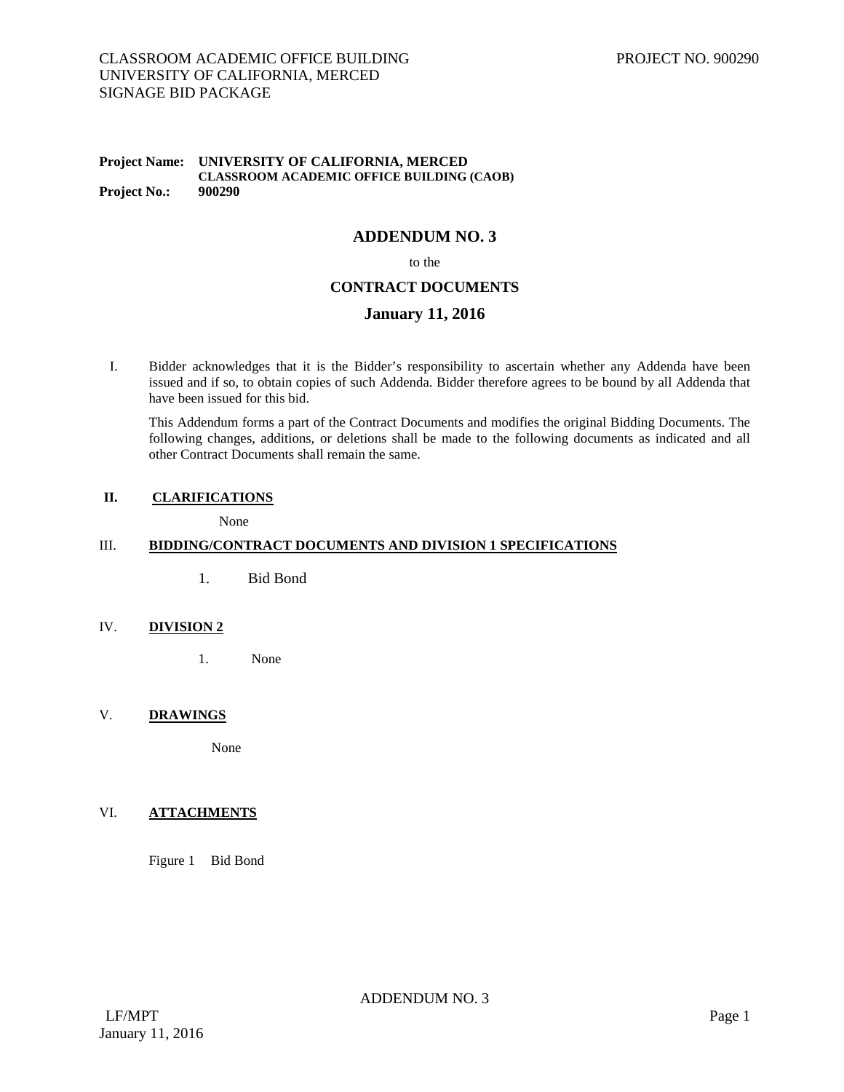#### **Project Name: UNIVERSITY OF CALIFORNIA, MERCED CLASSROOM ACADEMIC OFFICE BUILDING (CAOB) Project No.:**

# **ADDENDUM NO. 3**

to the

# **CONTRACT DOCUMENTS**

### **January 11, 2016**

I. Bidder acknowledges that it is the Bidder's responsibility to ascertain whether any Addenda have been issued and if so, to obtain copies of such Addenda. Bidder therefore agrees to be bound by all Addenda that have been issued for this bid.

This Addendum forms a part of the Contract Documents and modifies the original Bidding Documents. The following changes, additions, or deletions shall be made to the following documents as indicated and all other Contract Documents shall remain the same.

#### **II. CLARIFICATIONS**

None

# III. **BIDDING/CONTRACT DOCUMENTS AND DIVISION 1 SPECIFICATIONS**

1. Bid Bond

### IV. **DIVISION 2**

1. None

### V. **DRAWINGS**

None

## VI. **ATTACHMENTS**

Figure 1 Bid Bond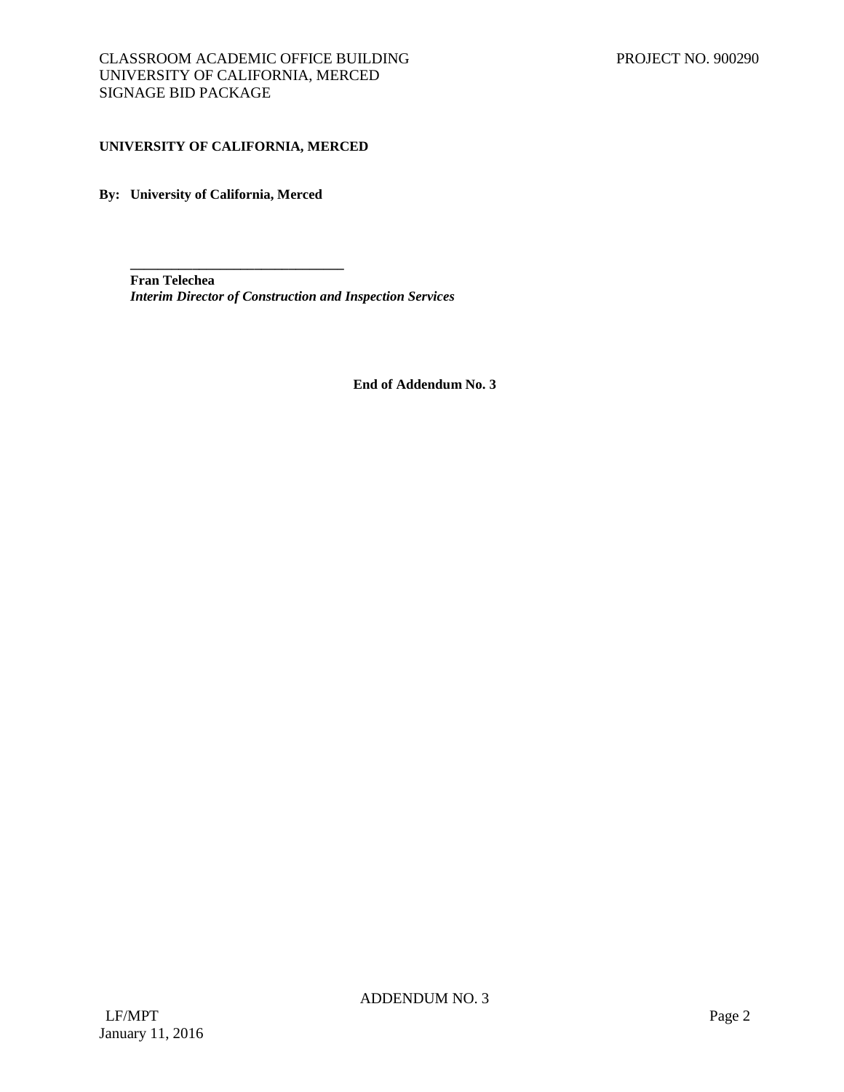### **UNIVERSITY OF CALIFORNIA, MERCED**

**\_\_\_\_\_\_\_\_\_\_\_\_\_\_\_\_\_\_\_\_\_\_\_\_\_\_\_\_\_\_\_**

**By: University of California, Merced**

**Fran Telechea** *Interim Director of Construction and Inspection Services*

**End of Addendum No. 3**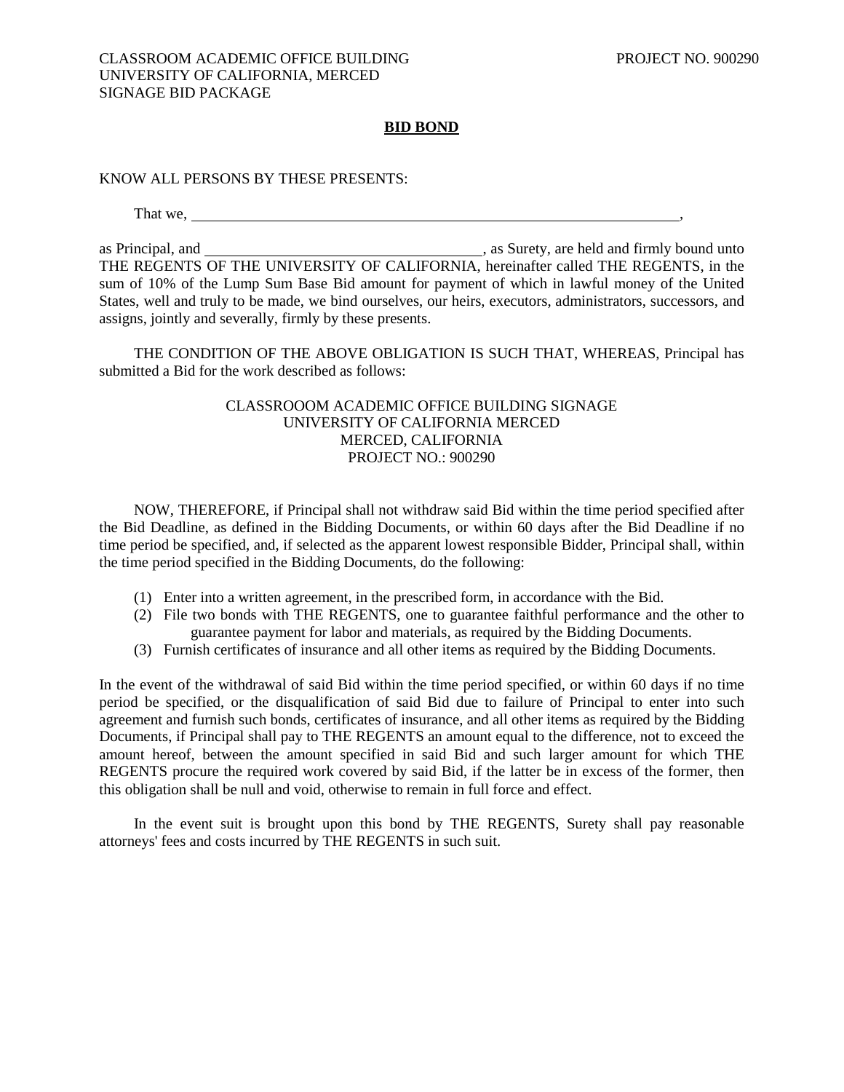# **BID BOND**

KNOW ALL PERSONS BY THESE PRESENTS:

That we,

as Principal, and , as Surety, are held and firmly bound unto THE REGENTS OF THE UNIVERSITY OF CALIFORNIA, hereinafter called THE REGENTS, in the sum of 10% of the Lump Sum Base Bid amount for payment of which in lawful money of the United States, well and truly to be made, we bind ourselves, our heirs, executors, administrators, successors, and assigns, jointly and severally, firmly by these presents.

THE CONDITION OF THE ABOVE OBLIGATION IS SUCH THAT, WHEREAS, Principal has submitted a Bid for the work described as follows:

# CLASSROOOM ACADEMIC OFFICE BUILDING SIGNAGE UNIVERSITY OF CALIFORNIA MERCED MERCED, CALIFORNIA PROJECT NO.: 900290

NOW, THEREFORE, if Principal shall not withdraw said Bid within the time period specified after the Bid Deadline, as defined in the Bidding Documents, or within 60 days after the Bid Deadline if no time period be specified, and, if selected as the apparent lowest responsible Bidder, Principal shall, within the time period specified in the Bidding Documents, do the following:

- (1) Enter into a written agreement, in the prescribed form, in accordance with the Bid.
- (2) File two bonds with THE REGENTS, one to guarantee faithful performance and the other to guarantee payment for labor and materials, as required by the Bidding Documents.
- (3) Furnish certificates of insurance and all other items as required by the Bidding Documents.

In the event of the withdrawal of said Bid within the time period specified, or within 60 days if no time period be specified, or the disqualification of said Bid due to failure of Principal to enter into such agreement and furnish such bonds, certificates of insurance, and all other items as required by the Bidding Documents, if Principal shall pay to THE REGENTS an amount equal to the difference, not to exceed the amount hereof, between the amount specified in said Bid and such larger amount for which THE REGENTS procure the required work covered by said Bid, if the latter be in excess of the former, then this obligation shall be null and void, otherwise to remain in full force and effect.

In the event suit is brought upon this bond by THE REGENTS, Surety shall pay reasonable attorneys' fees and costs incurred by THE REGENTS in such suit.